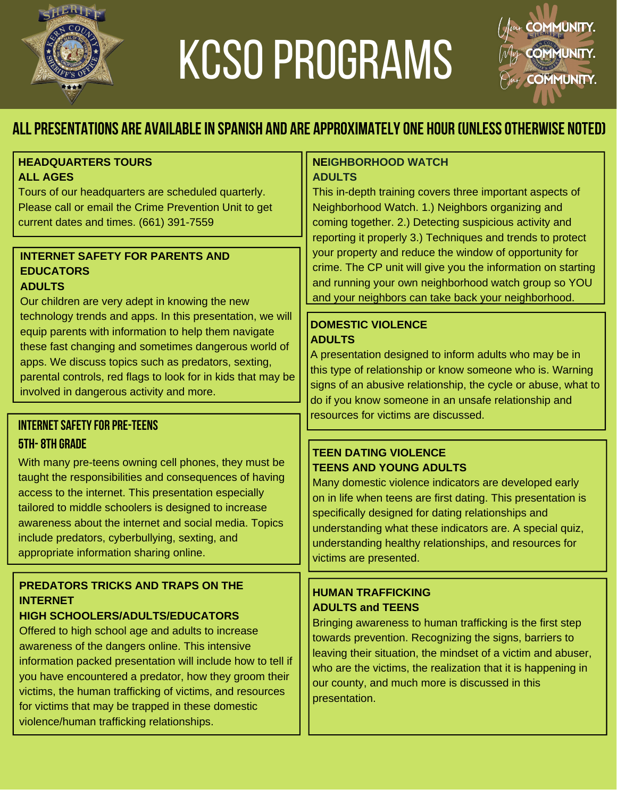

# KCSO PROGRAMS



# **Allpresentations are availablein spanish and are approximatelyone hour (unlessotherwise noted)**

#### **HEADQUARTERS TOURS ALL AGES**

Tours of our headquarters are scheduled quarterly. Please call or email the Crime Prevention Unit to get current dates and times. (661) 391-7559

# **INTERNET SAFETY FOR PARENTS AND EDUCATORS**

# **ADULTS**

Our children are very adept in knowing the new technology trends and apps. In this presentation, we will equip parents with information to help them navigate these fast changing and sometimes dangerous world of apps. We discuss topics such as predators, sexting, parental controls, red flags to look for in kids that may be involved in dangerous activity and more.

# **INTERNET SAFETY FOR PRE-TEENS 5th-8th GRADE**

With many pre-teens owning cell phones, they must be taught the responsibilities and consequences of having access to the internet. This presentation especially tailored to middle schoolers is designed to increase awareness about the internet and social media. Topics include predators, cyberbullying, sexting, and appropriate information sharing online.

# **PREDATORS TRICKS AND TRAPS ON THE INTERNET**

# **HIGH SCHOOLERS/ADULTS/EDUCATORS**

Offered to high school age and adults to increase awareness of the dangers online. This intensive information packed presentation will include how to tell if you have encountered a predator, how they groom their victims, the human trafficking of victims, and resources for victims that may be trapped in these domestic violence/human trafficking relationships.

#### **NEIGHBORHOOD WATCH ADULTS**

This in-depth training covers three important aspects of Neighborhood Watch. 1.) Neighbors organizing and coming together. 2.) Detecting suspicious activity and reporting it properly 3.) Techniques and trends to protect your property and reduce the window of opportunity for crime. The CP unit will give you the information on starting and running your own neighborhood watch group so YOU and your neighbors can take back your neighborhood.

# **DOMESTIC VIOLENCE ADULTS**

A presentation designed to inform adults who may be in this type of relationship or know someone who is. Warning signs of an abusive relationship, the cycle or abuse, what to do if you know someone in an unsafe relationship and resources for victims are discussed.

# **TEEN DATING VIOLENCE TEENS AND YOUNG ADULTS**

Many domestic violence indicators are developed early on in life when teens are first dating. This presentation is specifically designed for dating relationships and understanding what these indicators are. A special quiz, understanding healthy relationships, and resources for victims are presented.

# **HUMAN TRAFFICKING ADULTS and TEENS**

Bringing awareness to human trafficking is the first step towards prevention. Recognizing the signs, barriers to leaving their situation, the mindset of a victim and abuser, who are the victims, the realization that it is happening in our county, and much more is discussed in this presentation.